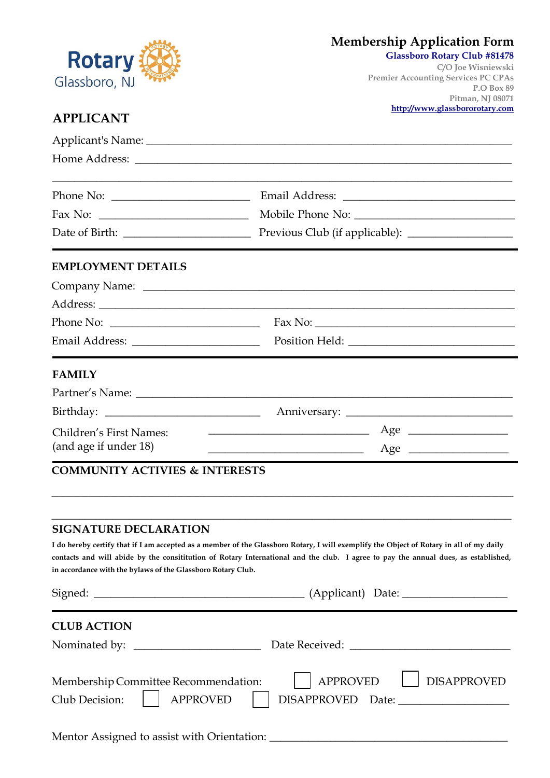

### **Membership Application Form**

#### **Glassboro Rotary Club #81478**

**C/O Joe Wisniewski Premier Accounting Services PC CPAs P.O Box 89 Pitman, NJ 08071 http://www.glassbororotary.com**

### **APPLICANT**

| $\text{Fax No: }$                                                         |                                                                                                                                                                                                                                                                               |
|---------------------------------------------------------------------------|-------------------------------------------------------------------------------------------------------------------------------------------------------------------------------------------------------------------------------------------------------------------------------|
|                                                                           |                                                                                                                                                                                                                                                                               |
| <b>EMPLOYMENT DETAILS</b>                                                 |                                                                                                                                                                                                                                                                               |
|                                                                           |                                                                                                                                                                                                                                                                               |
|                                                                           |                                                                                                                                                                                                                                                                               |
| Phone No: $\_\_$                                                          |                                                                                                                                                                                                                                                                               |
|                                                                           |                                                                                                                                                                                                                                                                               |
| <b>FAMILY</b>                                                             |                                                                                                                                                                                                                                                                               |
|                                                                           |                                                                                                                                                                                                                                                                               |
|                                                                           |                                                                                                                                                                                                                                                                               |
| Children's First Names:                                                   | <u> 1980 - Johann Barn, fransk politik (d. 1980)</u><br>$Age \_$                                                                                                                                                                                                              |
| (and age if under 18)                                                     | $Age \_$<br><u> 1989 - Johann Barn, mars eta bainar eta idazlea (h. 1989).</u>                                                                                                                                                                                                |
| <b>COMMUNITY ACTIVIES &amp; INTERESTS</b>                                 |                                                                                                                                                                                                                                                                               |
|                                                                           |                                                                                                                                                                                                                                                                               |
| <b>SIGNATURE DECLARATION</b>                                              |                                                                                                                                                                                                                                                                               |
| in accordance with the bylaws of the Glassboro Rotary Club.               | I do hereby certify that if I am accepted as a member of the Glassboro Rotary, I will exemplify the Object of Rotary in all of my daily<br>contacts and will abide by the consititution of Rotary International and the club. I agree to pay the annual dues, as established, |
|                                                                           |                                                                                                                                                                                                                                                                               |
| <b>CLUB ACTION</b>                                                        |                                                                                                                                                                                                                                                                               |
|                                                                           |                                                                                                                                                                                                                                                                               |
| Membership Committee Recommendation:<br><b>APPROVED</b><br>Club Decision: | <b>APPROVED</b><br><b>DISAPPROVED</b>                                                                                                                                                                                                                                         |
|                                                                           |                                                                                                                                                                                                                                                                               |